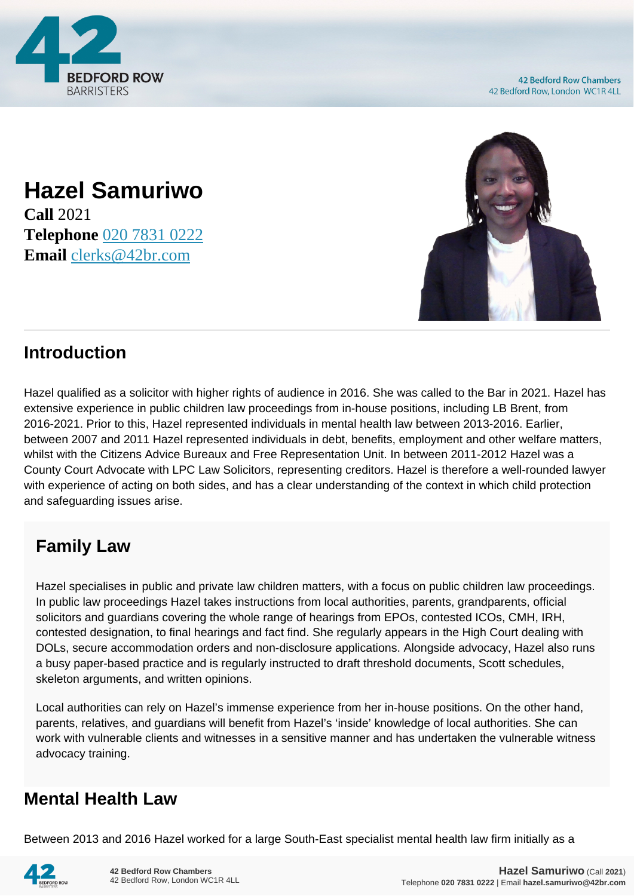

**42 Bedford Row Chambers** 42 Bedford Row, London WC1R 4LL

### **Hazel Samuriwo Call** 2021 **Telephone** [020 7831 0222](https://pdf.codeshore.co/_42br/tel:020 7831 0222) **Email** [clerks@42br.com](mailto:clerks@42br.com)



# **Introduction**

Hazel qualified as a solicitor with higher rights of audience in 2016. She was called to the Bar in 2021. Hazel has extensive experience in public children law proceedings from in-house positions, including LB Brent, from 2016-2021. Prior to this, Hazel represented individuals in mental health law between 2013-2016. Earlier, between 2007 and 2011 Hazel represented individuals in debt, benefits, employment and other welfare matters, whilst with the Citizens Advice Bureaux and Free Representation Unit. In between 2011-2012 Hazel was a County Court Advocate with LPC Law Solicitors, representing creditors. Hazel is therefore a well-rounded lawyer with experience of acting on both sides, and has a clear understanding of the context in which child protection and safeguarding issues arise.

# **Family Law**

Hazel specialises in public and private law children matters, with a focus on public children law proceedings. In public law proceedings Hazel takes instructions from local authorities, parents, grandparents, official solicitors and guardians covering the whole range of hearings from EPOs, contested ICOs, CMH, IRH, contested designation, to final hearings and fact find. She regularly appears in the High Court dealing with DOLs, secure accommodation orders and non-disclosure applications. Alongside advocacy, Hazel also runs a busy paper-based practice and is regularly instructed to draft threshold documents, Scott schedules, skeleton arguments, and written opinions.

Local authorities can rely on Hazel's immense experience from her in-house positions. On the other hand, parents, relatives, and guardians will benefit from Hazel's 'inside' knowledge of local authorities. She can work with vulnerable clients and witnesses in a sensitive manner and has undertaken the vulnerable witness advocacy training.

# **Mental Health Law**

Between 2013 and 2016 Hazel worked for a large South-East specialist mental health law firm initially as a